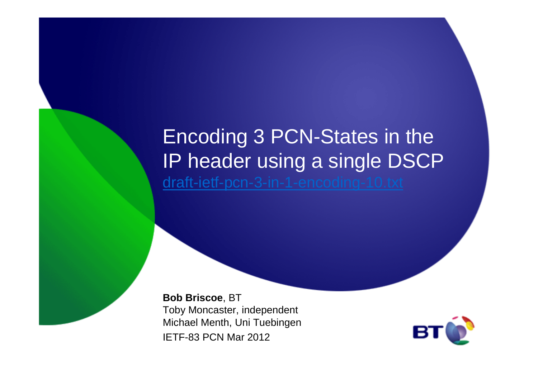### Encoding 3 PCN-States in the IP header using a single DSCPdraft-ietf-pcn-3-in-1-encoding-10.txt

**Bob Briscoe**, BT Toby Moncaster, independent Michael Menth, Uni TuebingenIETF-83 PCN Mar 2012

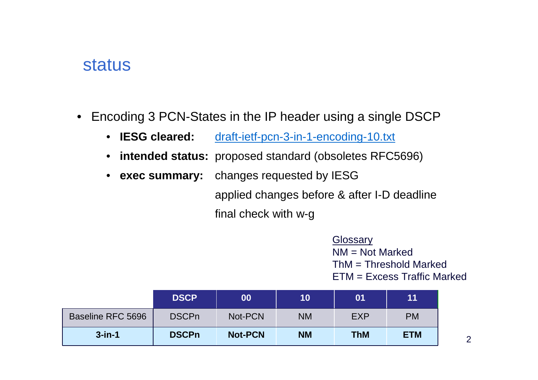#### status

- Encoding 3 PCN-States in the IP header using a single DSCP
	- IESG cleared: draft-ietf-pcn-3-in-1-encoding-10.txt
	- **intended status:** proposed standard (obsoletes RFC5696)
	- exec summary: **exec summary:** changes requested by IESG

applied changes before & after I-D deadlinefinal check with w-g

> **Glossary**  NM = Not Marked $\mathsf{ThM} = \mathsf{Threshold}$  Marked ETM = Excess Traffic Marked

|                          | <b>DSCP</b>  | 00             | 10        | 01         | 11         |
|--------------------------|--------------|----------------|-----------|------------|------------|
| <b>Baseline RFC 5696</b> | <b>DSCPn</b> | Not-PCN        | <b>NM</b> | <b>EXP</b> | <b>PM</b>  |
| $3$ -in-1                | <b>DSCPn</b> | <b>Not-PCN</b> | <b>NM</b> | <b>ThM</b> | <b>ETM</b> |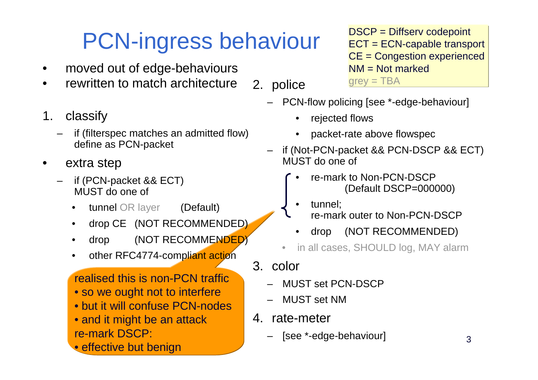## PCN-ingress behaviour

- •moved out of edge-behaviours
- rewritten to match architecture•2. police
- 1. classify
	- – if (filterspec matches an admitted flow)define as PCN-packet
- • extra step
	- – if (PCN-packet && ECT) MUST do one of
		- • tunnel OR layer(Default)
		- •drop CE (NOT RECOMMENDED)
		- •drop (NOT RECOMMENDED)
		- •other RFC4774-compliant action

realised this is non-PCN traffic

- so we ought not to interfere
- but it will confuse PCN-nodes
- and it might be an attackre-mark DSCP:
- effective but benign

DSCP = Diffserv codepoint ECT = ECN-capable transportCE = Congestion experiencedNM = Not marked $grey = TBA$ 

- PCN-flow policing [see \*-edge-behaviour]
	- •rejected flows
	- $\bullet$ packet-rate above flowspec
- if (Not-PCN-packet && PCN-DSCP && ECT) MUST do one of
	- • re-mark to Non-PCN-DSCP(Default DSCP=000000)
	- • tunnel; re-mark outer to Non-PCN-DSCP
	- •drop (NOT RECOMMENDED)
	- •in all cases, SHOULD log, MAY alarm
- 3. color
	- MUST set PCN-DSCP
	- MUST set NM
- 4. rate-meter
	- [see \*-edge-behaviour]